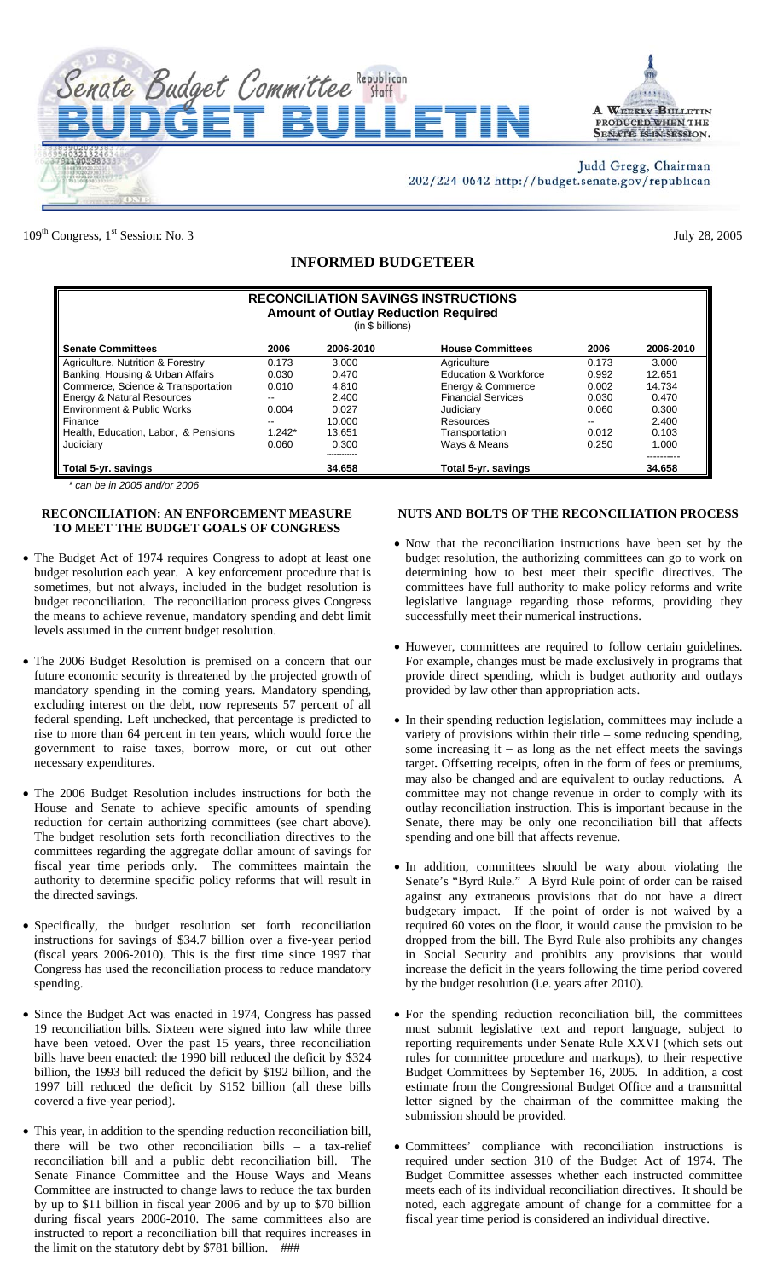



Judd Gregg, Chairman 202/224-0642 http://budget.senate.gov/republican

109<sup>th</sup> Congress, 1<sup>st</sup> Session: No. 3 July 28, 2005

## **INFORMED BUDGETEER**

| <b>RECONCILIATION SAVINGS INSTRUCTIONS</b><br><b>Amount of Outlay Reduction Required</b><br>(in \$ billions) |          |           |                           |       |           |  |  |
|--------------------------------------------------------------------------------------------------------------|----------|-----------|---------------------------|-------|-----------|--|--|
| <b>Senate Committees</b>                                                                                     | 2006     | 2006-2010 | <b>House Committees</b>   | 2006  | 2006-2010 |  |  |
| Agriculture, Nutrition & Forestry                                                                            | 0.173    | 3.000     | Agriculture               | 0.173 | 3.000     |  |  |
| Banking, Housing & Urban Affairs                                                                             | 0.030    | 0.470     | Education & Workforce     | 0.992 | 12.651    |  |  |
| Commerce, Science & Transportation                                                                           | 0.010    | 4.810     | Energy & Commerce         | 0.002 | 14.734    |  |  |
| Energy & Natural Resources                                                                                   | $- -$    | 2.400     | <b>Financial Services</b> | 0.030 | 0.470     |  |  |
| Environment & Public Works                                                                                   | 0.004    | 0.027     | Judiciary                 | 0.060 | 0.300     |  |  |
| Finance                                                                                                      | --       | 10.000    | Resources                 | --    | 2.400     |  |  |
| Health, Education, Labor, & Pensions                                                                         | $1.242*$ | 13.651    | Transportation            | 0.012 | 0.103     |  |  |
| Judiciary                                                                                                    | 0.060    | 0.300     | Ways & Means              | 0.250 | 1.000     |  |  |
| Total 5-yr. savings                                                                                          |          | 34.658    | Total 5-yr. savings       |       | 34.658    |  |  |

*\* can be in 2005 and/or 2006*

## **RECONCILIATION: AN ENFORCEMENT MEASURE TO MEET THE BUDGET GOALS OF CONGRESS**

- The Budget Act of 1974 requires Congress to adopt at least one budget resolution each year. A key enforcement procedure that is sometimes, but not always, included in the budget resolution is budget reconciliation. The reconciliation process gives Congress the means to achieve revenue, mandatory spending and debt limit levels assumed in the current budget resolution.
- The 2006 Budget Resolution is premised on a concern that our future economic security is threatened by the projected growth of mandatory spending in the coming years. Mandatory spending, excluding interest on the debt, now represents 57 percent of all federal spending. Left unchecked, that percentage is predicted to rise to more than 64 percent in ten years, which would force the government to raise taxes, borrow more, or cut out other necessary expenditures.
- The 2006 Budget Resolution includes instructions for both the House and Senate to achieve specific amounts of spending reduction for certain authorizing committees (see chart above). The budget resolution sets forth reconciliation directives to the committees regarding the aggregate dollar amount of savings for fiscal year time periods only. The committees maintain the authority to determine specific policy reforms that will result in the directed savings.
- Specifically, the budget resolution set forth reconciliation instructions for savings of \$34.7 billion over a five-year period (fiscal years 2006-2010). This is the first time since 1997 that Congress has used the reconciliation process to reduce mandatory spending.
- Since the Budget Act was enacted in 1974, Congress has passed 19 reconciliation bills. Sixteen were signed into law while three have been vetoed. Over the past 15 years, three reconciliation bills have been enacted: the 1990 bill reduced the deficit by \$324 billion, the 1993 bill reduced the deficit by \$192 billion, and the 1997 bill reduced the deficit by \$152 billion (all these bills covered a five-year period).
- This year, in addition to the spending reduction reconciliation bill, there will be two other reconciliation bills – a tax-relief reconciliation bill and a public debt reconciliation bill. The Senate Finance Committee and the House Ways and Means Committee are instructed to change laws to reduce the tax burden by up to \$11 billion in fiscal year 2006 and by up to \$70 billion during fiscal years 2006-2010. The same committees also are instructed to report a reconciliation bill that requires increases in the limit on the statutory debt by \$781 billion. ###

## **NUTS AND BOLTS OF THE RECONCILIATION PROCESS**

- Now that the reconciliation instructions have been set by the budget resolution, the authorizing committees can go to work on determining how to best meet their specific directives. The committees have full authority to make policy reforms and write legislative language regarding those reforms, providing they successfully meet their numerical instructions.
- However, committees are required to follow certain guidelines. For example, changes must be made exclusively in programs that provide direct spending, which is budget authority and outlays provided by law other than appropriation acts.
- In their spending reduction legislation, committees may include a variety of provisions within their title – some reducing spending, some increasing it – as long as the net effect meets the savings target**.** Offsetting receipts, often in the form of fees or premiums, may also be changed and are equivalent to outlay reductions. A committee may not change revenue in order to comply with its outlay reconciliation instruction. This is important because in the Senate, there may be only one reconciliation bill that affects spending and one bill that affects revenue.
- In addition, committees should be wary about violating the Senate's "Byrd Rule." A Byrd Rule point of order can be raised against any extraneous provisions that do not have a direct budgetary impact. If the point of order is not waived by a required 60 votes on the floor, it would cause the provision to be dropped from the bill. The Byrd Rule also prohibits any changes in Social Security and prohibits any provisions that would increase the deficit in the years following the time period covered by the budget resolution (i.e. years after 2010).
- For the spending reduction reconciliation bill, the committees must submit legislative text and report language, subject to reporting requirements under Senate Rule XXVI (which sets out rules for committee procedure and markups), to their respective Budget Committees by September 16, 2005. In addition, a cost estimate from the Congressional Budget Office and a transmittal letter signed by the chairman of the committee making the submission should be provided.
- Committees' compliance with reconciliation instructions is required under section 310 of the Budget Act of 1974. The Budget Committee assesses whether each instructed committee meets each of its individual reconciliation directives. It should be noted, each aggregate amount of change for a committee for a fiscal year time period is considered an individual directive.